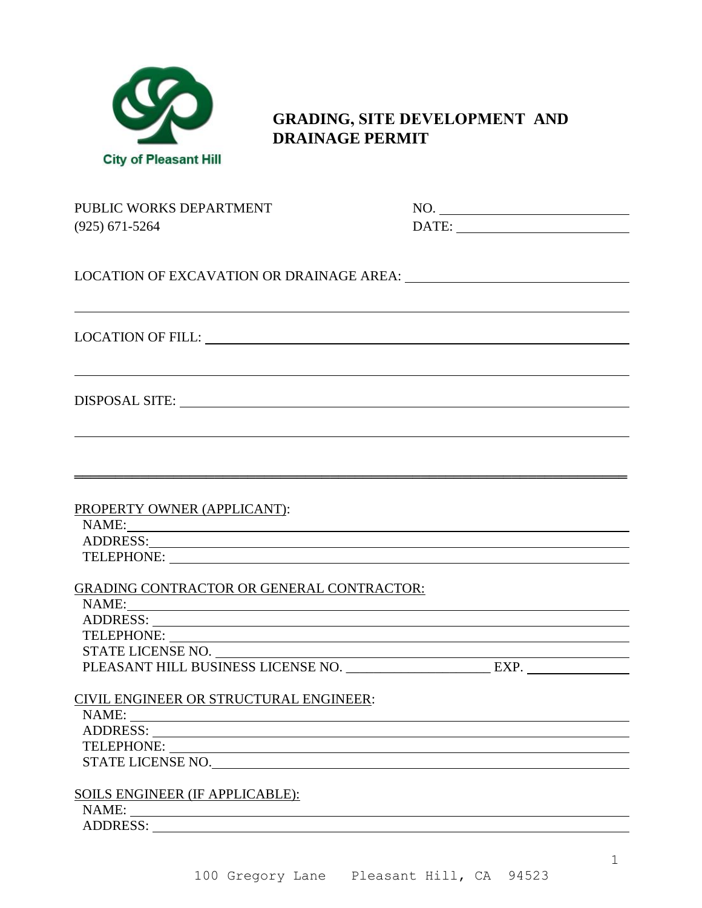

## **GRADING, SITE DEVELOPMENT AND DRAINAGE PERMIT**

| PUBLIC WORKS DEPARTMENT<br>$(925) 671 - 5264$                                                                                                                                                                                  | NO.<br>$\text{DATE:}\n \begin{array}{ c c c c c }\n \hline\n & \multicolumn{3}{ c }{\text{DATE:}}\n \hline\n \end{array}$ |
|--------------------------------------------------------------------------------------------------------------------------------------------------------------------------------------------------------------------------------|---------------------------------------------------------------------------------------------------------------------------|
|                                                                                                                                                                                                                                |                                                                                                                           |
|                                                                                                                                                                                                                                |                                                                                                                           |
|                                                                                                                                                                                                                                |                                                                                                                           |
| <u> 1999 - Johann Harry Harry Harry Harry Harry Harry Harry Harry Harry Harry Harry Harry Harry Harry Harry Harry</u>                                                                                                          |                                                                                                                           |
| PROPERTY OWNER (APPLICANT):                                                                                                                                                                                                    |                                                                                                                           |
|                                                                                                                                                                                                                                |                                                                                                                           |
| ADDRESS: North Contract of the Contract of the Contract of the Contract of the Contract of the Contract of the Contract of the Contract of the Contract of the Contract of the Contract of the Contract of the Contract of the |                                                                                                                           |
|                                                                                                                                                                                                                                |                                                                                                                           |
| <b>GRADING CONTRACTOR OR GENERAL CONTRACTOR:</b>                                                                                                                                                                               |                                                                                                                           |
| NAME: NAME CONSERVATION CONTINUES AND RELEASED FOR THE CONSERVATION CONTINUES.                                                                                                                                                 |                                                                                                                           |
| ADDRESS: New York Contract the Contract of the Contract of the Contract of the Contract of the Contract of the Contract of the Contract of the Contract of the Contract of the Contract of the Contract of the Contract of the |                                                                                                                           |
|                                                                                                                                                                                                                                |                                                                                                                           |
| STATE LICENSE NO.                                                                                                                                                                                                              | <u> 1980 - Johann Barn, mars ann an t-Aonaich an t-Aonaich an t-Aonaich an t-Aonaich an t-Aonaich ann an t-Aonaich</u>    |
| PLEASANT HILL BUSINESS LICENSE NO. ______________________ EXP. __________________                                                                                                                                              |                                                                                                                           |
|                                                                                                                                                                                                                                |                                                                                                                           |
| CIVIL ENGINEER OR STRUCTURAL ENGINEER:<br>NAME:                                                                                                                                                                                |                                                                                                                           |
|                                                                                                                                                                                                                                |                                                                                                                           |
|                                                                                                                                                                                                                                |                                                                                                                           |
| STATE LICENSE NO.                                                                                                                                                                                                              |                                                                                                                           |
|                                                                                                                                                                                                                                |                                                                                                                           |
| SOILS ENGINEER (IF APPLICABLE):                                                                                                                                                                                                |                                                                                                                           |
| NAME:                                                                                                                                                                                                                          |                                                                                                                           |
| ADDRESS:                                                                                                                                                                                                                       |                                                                                                                           |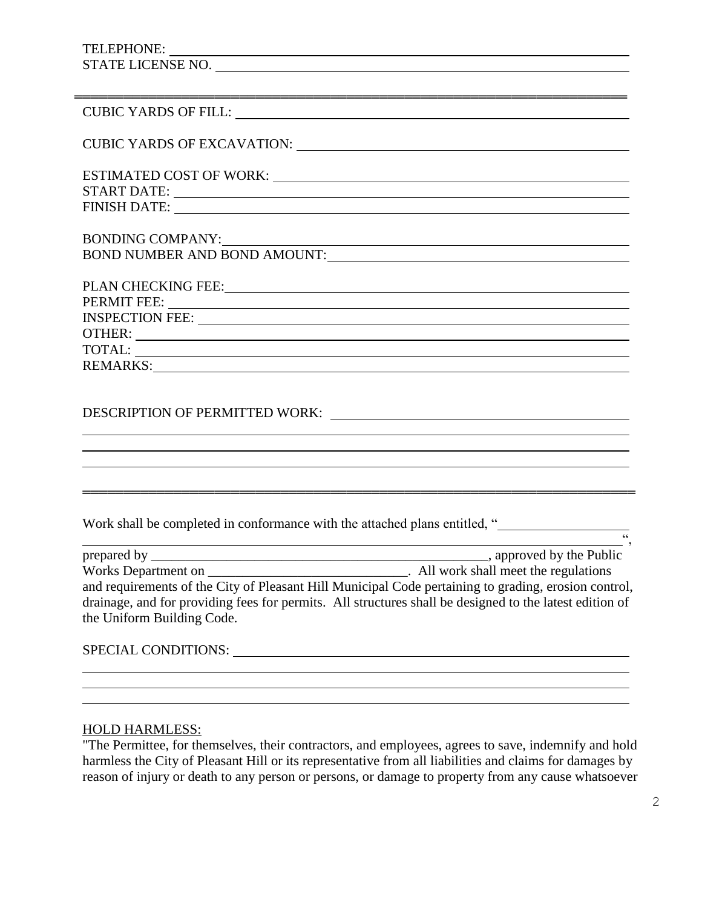## TELEPHONE: STATE LICENSE NO.

| CUBIC YARDS OF FILL: University of Prince and Alexander Annual Cubic Yards of Fill.                                                                                                                                           |
|-------------------------------------------------------------------------------------------------------------------------------------------------------------------------------------------------------------------------------|
|                                                                                                                                                                                                                               |
| CUBIC YARDS OF EXCAVATION: University of the Second Property of the Second Property of the Second Property of the Second Property of the Second Property of the Second Property of the Second Property of the Second Property |
|                                                                                                                                                                                                                               |
|                                                                                                                                                                                                                               |
| FINISH DATE: <u>December 2008</u>                                                                                                                                                                                             |
|                                                                                                                                                                                                                               |
| BONDING COMPANY:                                                                                                                                                                                                              |
| BOND NUMBER AND BOND AMOUNT:                                                                                                                                                                                                  |
|                                                                                                                                                                                                                               |
|                                                                                                                                                                                                                               |
|                                                                                                                                                                                                                               |
| INSPECTION FEE: University of the contract of the contract of the contract of the contract of the contract of the contract of the contract of the contract of the contract of the contract of the contract of the contract of |
|                                                                                                                                                                                                                               |
|                                                                                                                                                                                                                               |
| REMARKS: New York Contract to the Contract of the Contract of the Contract of the Contract of the Contract of the Contract of the Contract of the Contract of the Contract of the Contract of the Contract of the Contract of |
|                                                                                                                                                                                                                               |
|                                                                                                                                                                                                                               |

## DESCRIPTION OF PERMITTED WORK:

Work shall be completed in conformance with the attached plans entitled, "

| prepared by                                                                                             | , approved by the Public              |
|---------------------------------------------------------------------------------------------------------|---------------------------------------|
| Works Department on                                                                                     | . All work shall meet the regulations |
| and requirements of the City of Pleasant Hill Municipal Code pertaining to grading, erosion control,    |                                       |
| drainage, and for providing fees for permits. All structures shall be designed to the latest edition of |                                       |
| the Uniform Building Code.                                                                              |                                       |
|                                                                                                         |                                       |

<u> 1989 - Johann Stoff, amerikansk politiker (\* 1908)</u>

═══════════════════════════════════════════════════════════════════

| <b>SPECIAL CONDITIONS:</b> |
|----------------------------|
|----------------------------|

## HOLD HARMLESS:

"The Permittee, for themselves, their contractors, and employees, agrees to save, indemnify and hold harmless the City of Pleasant Hill or its representative from all liabilities and claims for damages by reason of injury or death to any person or persons, or damage to property from any cause whatsoever

 $\overline{a}$ 

 $\frac{1}{66}$ 

 $\overline{a}$